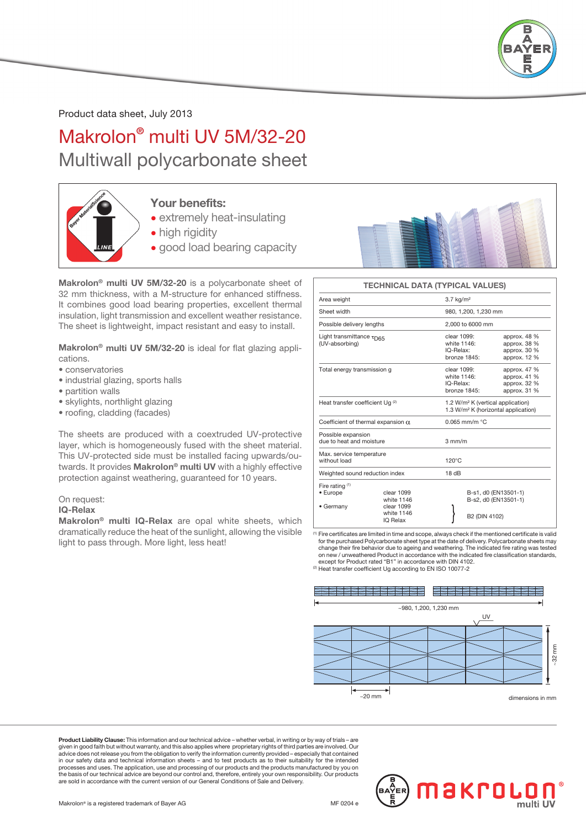

Product data sheet, July 2013

Makrolon® multi UV 5M/32-20 Multiwall polycarbonate sheet



### Your benefits:

- extremely heat-insulating
- high rigidity
- good load bearing capacity

Makrolon® multi UV 5M/32-20 is a polycarbonate sheet of 32 mm thickness, with a M-structure for enhanced stiffness. It combines good load bearing properties, excellent thermal insulation, light transmission and excellent weather resistance. The sheet is lightweight, impact resistant and easy to install.

Makrolon® multi UV 5M/32-20 is ideal for flat glazing applications.

- conservatories
- industrial glazing, sports halls
- partition walls
- skylights, northlight glazing
- roofing, cladding (facades)

The sheets are produced with a coextruded UV-protective layer, which is homogeneously fused with the sheet material. This UV-protected side must be installed facing upwards/outwards. It provides Makrolon® multi UV with a highly effective protection against weathering, guaranteed for 10 years.

#### On request:

#### IQ-Relax

Makrolon® multi IQ-Relax are opal white sheets, which dramatically reduce the heat of the sunlight, allowing the visible light to pass through. More light, less heat!



#### TECHNICAL DATA (TYPICAL VALUES)

| Area weight                                            |                          | $3.7$ kg/m <sup>2</sup>                                                                          |                                                              |  |  |
|--------------------------------------------------------|--------------------------|--------------------------------------------------------------------------------------------------|--------------------------------------------------------------|--|--|
| Sheet width                                            |                          | 980, 1.200, 1.230 mm                                                                             |                                                              |  |  |
| Possible delivery lengths                              |                          | 2,000 to 6000 mm                                                                                 |                                                              |  |  |
| Light transmittance τ <sub>D65</sub><br>(UV-absorbing) |                          | clear 1099:<br>white 1146:<br>IQ-Relax:<br>bronze 1845:                                          | approx. 48 %<br>approx. 38 %<br>approx. 30 %<br>approx. 12 % |  |  |
| Total energy transmission g                            |                          | clear 1099:<br>white 1146:<br>IQ-Relax:<br>bronze 1845:                                          | approx. 47 %<br>approx. 41 %<br>approx. 32 %<br>approx, 31 % |  |  |
| Heat transfer coefficient Ug <sup>(2)</sup>            |                          | 1.2 W/m <sup>2</sup> K (vertical application)<br>1.3 W/m <sup>2</sup> K (horizontal application) |                                                              |  |  |
| Coefficient of thermal expansion $\alpha$              |                          | $0.065$ mm/m $°C$                                                                                |                                                              |  |  |
| Possible expansion<br>due to heat and moisture         |                          | $3 \text{ mm/m}$                                                                                 |                                                              |  |  |
| Max. service temperature<br>without load               |                          | $120^{\circ}$ C                                                                                  |                                                              |  |  |
| Weighted sound reduction index                         |                          | 18dB                                                                                             |                                                              |  |  |
| Fire rating $(1)$<br>• Europe                          | clear 1099<br>white 1146 |                                                                                                  | B-s1, d0 (EN13501-1)<br>B-s2, d0 (EN13501-1)                 |  |  |
| clear 1099<br>• Germany<br>white 1146<br>IQ Relax      |                          | B2 (DIN 4102)                                                                                    |                                                              |  |  |

(1) Fire certificates are limited in time and scope, always check if the mentioned certificate is valid for the purchased Polycarbonate sheet type at the date of delivery. Polycarbonate sheets may change their fire behavior due to ageing and weathering. The indicated fire rating was tested on new / unweathered Product in accordance with the indicated fire classification standards, except for Product rated "B1" in accordance with DIN 4102.<br><sup>(2)</sup> Heat transfer coefficient Ug according to EN ISO 10077-2



Product Liability Clause: This information and our technical advice – whether verbal, in writing or by way of trials – are given in good faith but without warranty, and this also applies where proprietary rights of third parties are involved. Our<br>advice does not release you from the obligation to verify the information currently provided – es processes and uses. The application, use and processing of our products and the products manufactured by you on<br>the basis of our technical advice are beyond our control and, therefore, entirely your own responsibility. Our